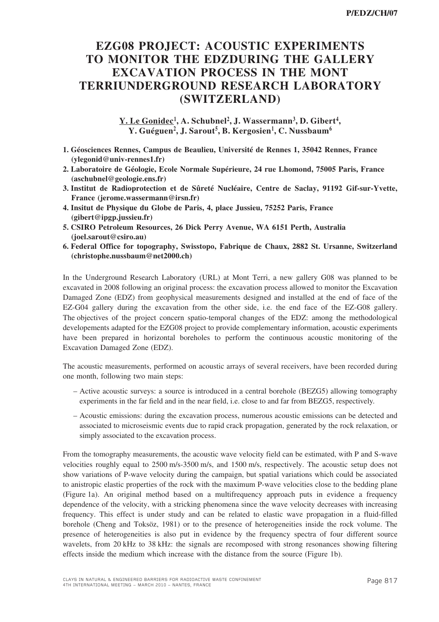## **EZG08 PROJECT: ACOUSTIC EXPERIMENTS TO MONITOR THE EDZDURING THE GALLERY EXCAVATION PROCESS IN THE MONT TERRIUNDERGROUND RESEARCH LABORATORY (SWITZERLAND)**

**Y. Le Gonidec 1 , A. Schubnel<sup>2</sup> , J. Wassermann<sup>3</sup> , D. Gibert<sup>4</sup> , Y. Guéguen<sup>2</sup> , J. Sarout<sup>5</sup> , B. Kergosien<sup>1</sup> , C. Nussbaum<sup>6</sup>**

- **1. Géosciences Rennes, Campus de Beaulieu, Université de Rennes 1, 35042 Rennes, France (ylegonid@univ-rennes1.fr)**
- **2. Laboratoire de Géologie, Ecole Normale Supérieure, 24 rue Lhomond, 75005 Paris, France (aschubnel@geologie.ens.fr)**
- **3. Institut de Radioprotection et de Sûreté Nucléaire, Centre de Saclay, 91192 Gif-sur-Yvette, France (jerome.wassermann@irsn.fr)**
- **4. Insitut de Physique du Globe de Paris, 4, place Jussieu, 75252 Paris, France (gibert@ipgp.jussieu.fr)**
- **5. CSIRO Petroleum Resources, 26 Dick Perry Avenue, WA 6151 Perth, Australia (joel.sarout@csiro.au)**
- **6. Federal Office for topography, Swisstopo, Fabrique de Chaux, 2882 St. Ursanne, Switzerland (christophe.nussbaum@net2000.ch)**

In the Underground Research Laboratory (URL) at Mont Terri, a new gallery G08 was planned to be excavated in 2008 following an original process: the excavation process allowed to monitor the Excavation Damaged Zone (EDZ) from geophysical measurements designed and installed at the end of face of the EZ-G04 gallery during the excavation from the other side, i.e. the end face of the EZ-G08 gallery. The objectives of the project concern spatio-temporal changes of the EDZ: among the methodological developements adapted for the EZG08 project to provide complementary information, acoustic experiments have been prepared in horizontal boreholes to perform the continuous acoustic monitoring of the Excavation Damaged Zone (EDZ).

The acoustic measurements, performed on acoustic arrays of several receivers, have been recorded during one month, following two main steps:

- Active acoustic surveys: a source is introduced in a central borehole (BEZG5) allowing tomography experiments in the far field and in the near field, i.e. close to and far from BEZG5, respectively.
- Acoustic emissions: during the excavation process, numerous acoustic emissions can be detected and associated to microseismic events due to rapid crack propagation, generated by the rock relaxation, or simply associated to the excavation process.

From the tomography measurements, the acoustic wave velocity field can be estimated, with P and S-wave velocities roughly equal to 2500 m/s-3500 m/s, and 1500 m/s, respectively. The acoustic setup does not show variations of P-wave velocity during the campaign, but spatial variations which could be associated to anistropic elastic properties of the rock with the maximum P-wave velocities close to the bedding plane (Figure 1a). An original method based on a multifrequency approach puts in evidence a frequency dependence of the velocity, with a stricking phenomena since the wave velocity decreases with increasing frequency. This effect is under study and can be related to elastic wave propagation in a fluid-filled borehole (Cheng and Toksöz, 1981) or to the presence of heterogeneities inside the rock volume. The presence of heterogeneities is also put in evidence by the frequency spectra of four different source wavelets, from 20 kHz to 38 kHz: the signals are recomposed with strong resonances showing filtering effects inside the medium which increase with the distance from the source (Figure 1b).